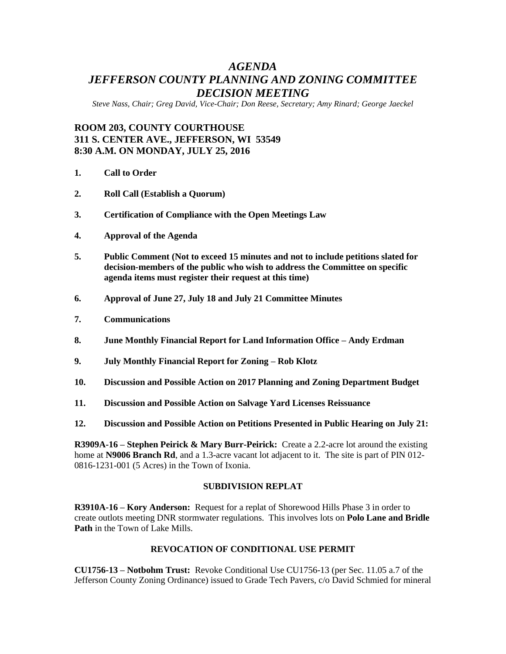# *AGENDA JEFFERSON COUNTY PLANNING AND ZONING COMMITTEE DECISION MEETING*

*Steve Nass, Chair; Greg David, Vice-Chair; Don Reese, Secretary; Amy Rinard; George Jaeckel*

# **ROOM 203, COUNTY COURTHOUSE 311 S. CENTER AVE., JEFFERSON, WI 53549 8:30 A.M. ON MONDAY, JULY 25, 2016**

- **1. Call to Order**
- **2. Roll Call (Establish a Quorum)**
- **3. Certification of Compliance with the Open Meetings Law**
- **4. Approval of the Agenda**
- **5. Public Comment (Not to exceed 15 minutes and not to include petitions slated for decision-members of the public who wish to address the Committee on specific agenda items must register their request at this time)**
- **6. Approval of June 27, July 18 and July 21 Committee Minutes**
- **7. Communications**
- **8. June Monthly Financial Report for Land Information Office – Andy Erdman**
- **9. July Monthly Financial Report for Zoning – Rob Klotz**
- **10. Discussion and Possible Action on 2017 Planning and Zoning Department Budget**
- **11. Discussion and Possible Action on Salvage Yard Licenses Reissuance**
- **12. Discussion and Possible Action on Petitions Presented in Public Hearing on July 21:**

**R3909A-16 – Stephen Peirick & Mary Burr-Peirick:** Create a 2.2-acre lot around the existing home at **N9006 Branch Rd**, and a 1.3-acre vacant lot adjacent to it. The site is part of PIN 012- 0816-1231-001 (5 Acres) in the Town of Ixonia.

#### **SUBDIVISION REPLAT**

**R3910A-16 – Kory Anderson:** Request for a replat of Shorewood Hills Phase 3 in order to create outlots meeting DNR stormwater regulations. This involves lots on **Polo Lane and Bridle Path** in the Town of Lake Mills.

#### **REVOCATION OF CONDITIONAL USE PERMIT**

**CU1756-13 – Notbohm Trust:** Revoke Conditional Use CU1756-13 (per Sec. 11.05 a.7 of the Jefferson County Zoning Ordinance) issued to Grade Tech Pavers, c/o David Schmied for mineral